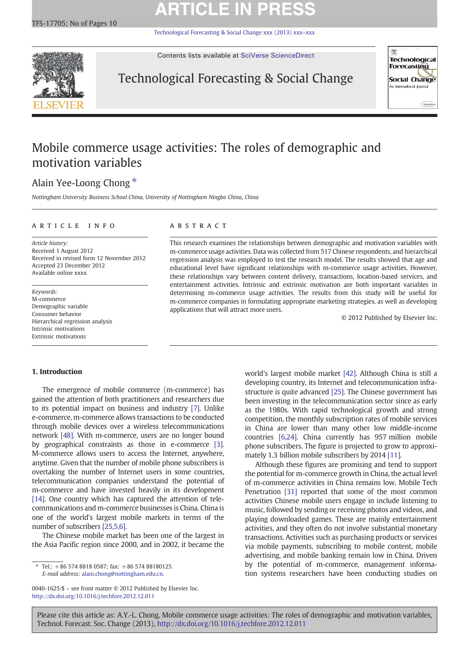# **ARTICLE IN PRESS**

[Technological Forecasting & Social Change xxx \(2013\) xxx](http://dx.doi.org/10.1016/j.techfore.2012.12.011)–xxx



Contents lists available at [SciVerse ScienceDirect](http://www.sciencedirect.com/science/journal/00401625)

### Technological Forecasting & Social Change



### Mobile commerce usage activities: The roles of demographic and motivation variables

### Alain Yee-Loong Chong<sup>\*</sup>

Nottingham University Business School China, University of Nottingham Ningbo China, China

#### article info abstract

Article history: Received 1 August 2012 Received in revised form 12 November 2012 Accepted 23 December 2012 Available online xxxx

Keywords: M-commerce Demographic variable Consumer behavior Hierarchical regression analysis Intrinsic motivations Extrinsic motivations

This research examines the relationships between demographic and motivation variables with m-commerce usage activities. Data was collected from 517 Chinese respondents, and hierarchical regression analysis was employed to test the research model. The results showed that age and educational level have significant relationships with m-commerce usage activities. However, these relationships vary between content delivery, transactions, location-based services, and entertainment activities. Intrinsic and extrinsic motivation are both important variables in determining m-commerce usage activities. The results from this study will be useful for m-commerce companies in formulating appropriate marketing strategies, as well as developing applications that will attract more users.

© 2012 Published by Elsevier Inc.

#### 1. Introduction

The emergence of mobile commerce (m-commerce) has gained the attention of both practitioners and researchers due to its potential impact on business and industry [\[7\].](#page--1-0) Unlike e-commerce, m-commerce allows transactions to be conducted through mobile devices over a wireless telecommunications network [\[48\]](#page--1-0). With m-commerce, users are no longer bound by geographical constraints as those in e-commerce [\[3\]](#page--1-0). M-commerce allows users to access the Internet, anywhere, anytime. Given that the number of mobile phone subscribers is overtaking the number of Internet users in some countries, telecommunication companies understand the potential of m-commerce and have invested heavily in its development [\[14\]](#page--1-0). One country which has captured the attention of telecommunications and m-commerce businesses is China. China is one of the world's largest mobile markets in terms of the number of subscribers [\[25,5,6\]](#page--1-0).

The Chinese mobile market has been one of the largest in the Asia Pacific region since 2000, and in 2002, it became the

⁎ Tel.: +86 574 8818 0587; fax: +86 574 88180125. E-mail address: [alain.chong@nottingham.edu.cn](mailto:alain.chong@nottingham.edu.cn).

0040-1625/\$ – see front matter © 2012 Published by Elsevier Inc. <http://dx.doi.org/10.1016/j.techfore.2012.12.011>

world's largest mobile market [\[42\]](#page--1-0). Although China is still a developing country, its Internet and telecommunication infrastructure is quite advanced [\[25\].](#page--1-0) The Chinese government has been investing in the telecommunication sector since as early as the 1980s. With rapid technological growth and strong competition, the monthly subscription rates of mobile services in China are lower than many other low middle-income countries [\[6,24\]](#page--1-0). China currently has 957 million mobile phone subscribers. The figure is projected to grow to approximately 1.3 billion mobile subscribers by 2014 [\[11\]](#page--1-0).

Although these figures are promising and tend to support the potential for m-commerce growth in China, the actual level of m-commerce activities in China remains low. Mobile Tech Penetration [\[31\]](#page--1-0) reported that some of the most common activities Chinese mobile users engage in include listening to music, followed by sending or receiving photos and videos, and playing downloaded games. These are mainly entertainment activities, and they often do not involve substantial monetary transactions. Activities such as purchasing products or services via mobile payments, subscribing to mobile content, mobile advertising, and mobile banking remain low in China. Driven by the potential of m-commerce, management information systems researchers have been conducting studies on

Please cite this article as: A.Y.-L. Chong, Mobile commerce usage activities: The roles of demographic and motivation variables, Technol. Forecast. Soc. Change (2013), <http://dx.doi.org/10.1016/j.techfore.2012.12.011>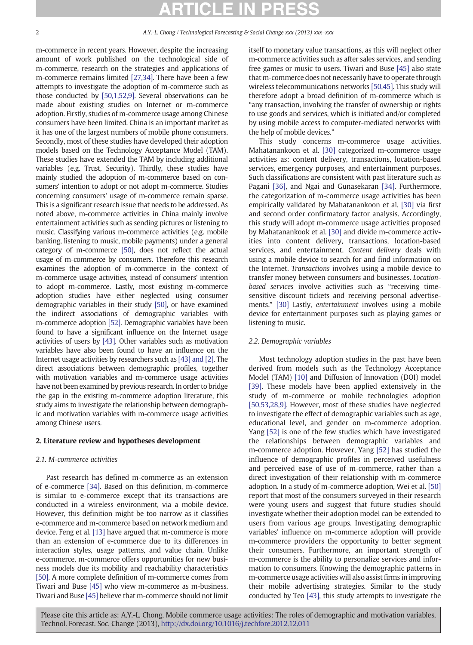#### P CLE IN

m-commerce in recent years. However, despite the increasing amount of work published on the technological side of m-commerce, research on the strategies and applications of m-commerce remains limited [\[27,34\].](#page--1-0) There have been a few attempts to investigate the adoption of m-commerce such as those conducted by [\[50,1,52,9\].](#page--1-0) Several observations can be made about existing studies on Internet or m-commerce adoption. Firstly, studies of m-commerce usage among Chinese consumers have been limited. China is an important market as it has one of the largest numbers of mobile phone consumers. Secondly, most of these studies have developed their adoption models based on the Technology Acceptance Model (TAM). These studies have extended the TAM by including additional variables (e.g. Trust, Security). Thirdly, these studies have mainly studied the adoption of m-commerce based on consumers' intention to adopt or not adopt m-commerce. Studies concerning consumers' usage of m-commerce remain sparse. This is a significant research issue that needs to be addressed. As noted above, m-commerce activities in China mainly involve entertainment activities such as sending pictures or listening to music. Classifying various m-commerce activities (e.g. mobile banking, listening to music, mobile payments) under a general category of m-commerce [\[50\],](#page--1-0) does not reflect the actual usage of m-commerce by consumers. Therefore this research examines the adoption of m-commerce in the context of m-commerce usage activities, instead of consumers' intention to adopt m-commerce. Lastly, most existing m-commerce adoption studies have either neglected using consumer demographic variables in their study [\[50\],](#page--1-0) or have examined the indirect associations of demographic variables with m-commerce adoption [\[52\].](#page--1-0) Demographic variables have been found to have a significant influence on the Internet usage activities of users by [\[43\]](#page--1-0). Other variables such as motivation variables have also been found to have an influence on the Internet usage activities by researchers such as [\[43\] and \[2\].](#page--1-0) The direct associations between demographic profiles, together with motivation variables and m-commerce usage activities have not been examined by previous research. In order to bridge the gap in the existing m-commerce adoption literature, this study aims to investigate the relationship between demographic and motivation variables with m-commerce usage activities among Chinese users.

#### 2. Literature review and hypotheses development

#### 2.1. M-commerce activities

Past research has defined m-commerce as an extension of e-commerce [\[34\].](#page--1-0) Based on this definition, m-commerce is similar to e-commerce except that its transactions are conducted in a wireless environment, via a mobile device. However, this definition might be too narrow as it classifies e-commerce and m-commerce based on network medium and device. Feng et al. [\[13\]](#page--1-0) have argued that m-commerce is more than an extension of e-commerce due to its differences in interaction styles, usage patterns, and value chain. Unlike e-commerce, m-commerce offers opportunities for new business models due its mobility and reachability characteristics [\[50\].](#page--1-0) A more complete definition of m-commerce comes from Tiwari and Buse [\[45\]](#page--1-0) who view m-commerce as m-business. Tiwari and Buse [\[45\]](#page--1-0) believe that m-commerce should not limit itself to monetary value transactions, as this will neglect other m-commerce activities such as after sales services, and sending free games or music to users. Tiwari and Buse [\[45\]](#page--1-0) also state that m-commerce does not necessarily have to operate through wireless telecommunications networks [\[50,45\]](#page--1-0). This study will therefore adopt a broad definition of m-commerce which is "any transaction, involving the transfer of ownership or rights to use goods and services, which is initiated and/or completed by using mobile access to computer-mediated networks with the help of mobile devices."

This study concerns m-commerce usage activities. Mahatanankoon et al. [\[30\]](#page--1-0) categorized m-commerce usage activities as: content delivery, transactions, location-based services, emergency purposes, and entertainment purposes. Such classifications are consistent with past literature such as Pagani [\[36\],](#page--1-0) and Ngai and Gunasekaran [\[34\]](#page--1-0). Furthermore, the categorization of m-commerce usage activities has been empirically validated by Mahatanankoon et al. [\[30\]](#page--1-0) via first and second order confirmatory factor analysis. Accordingly, this study will adopt m-commerce usage activities proposed by Mahatanankook et al. [\[30\]](#page--1-0) and divide m-commerce activities into content delivery, transactions, location-based services, and entertainment. Content delivery deals with using a mobile device to search for and find information on the Internet. Transactions involves using a mobile device to transfer money between consumers and businesses. Locationbased services involve activities such as "receiving timesensitive discount tickets and receiving personal advertisements." [\[30\]](#page--1-0) Lastly, entertainment involves using a mobile device for entertainment purposes such as playing games or listening to music.

#### 2.2. Demographic variables

Most technology adoption studies in the past have been derived from models such as the Technology Acceptance Model (TAM) [\[10\]](#page--1-0) and Diffusion of Innovation (DOI) model [\[39\]](#page--1-0). These models have been applied extensively in the study of m-commerce or mobile technologies adoption [\[50,53,28,9\]](#page--1-0). However, most of these studies have neglected to investigate the effect of demographic variables such as age, educational level, and gender on m-commerce adoption. Yang [\[52\]](#page--1-0) is one of the few studies which have investigated the relationships between demographic variables and m-commerce adoption. However, Yang [\[52\]](#page--1-0) has studied the influence of demographic profiles in perceived usefulness and perceived ease of use of m-commerce, rather than a direct investigation of their relationship with m-commerce adoption. In a study of m-commerce adoption, Wei et al. [\[50\]](#page--1-0) report that most of the consumers surveyed in their research were young users and suggest that future studies should investigate whether their adoption model can be extended to users from various age groups. Investigating demographic variables' influence on m-commerce adoption will provide m-commerce providers the opportunity to better segment their consumers. Furthermore, an important strength of m-commerce is the ability to personalize services and information to consumers. Knowing the demographic patterns in m-commerce usage activities will also assist firms in improving their mobile advertising strategies. Similar to the study conducted by Teo [\[43\]](#page--1-0), this study attempts to investigate the

Please cite this article as: A.Y.-L. Chong, Mobile commerce usage activities: The roles of demographic and motivation variables, Technol. Forecast. Soc. Change (2013), <http://dx.doi.org/10.1016/j.techfore.2012.12.011>